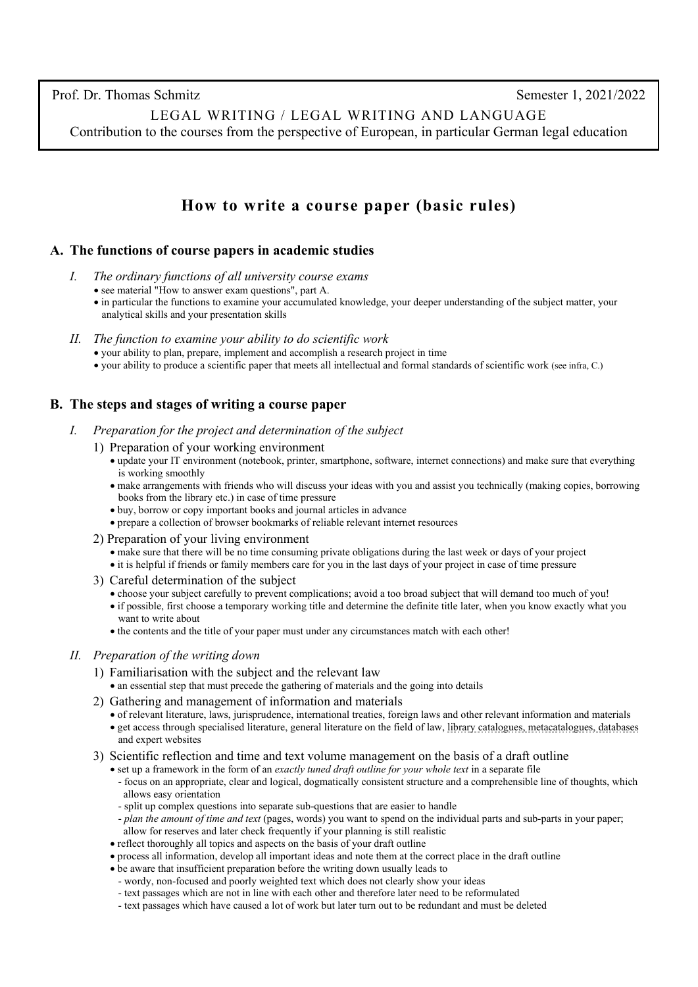Prof. Dr. Thomas Schmitz Semester 1, 2021/2022

LEGAL WRITING / LEGAL WRITING AND LANGUAGE Contribution to the courses from the perspective of European, in particular German legal education

# **How to write a course paper (basic rules)**

### **A. The functions of course papers in academic studies**

- *I. The ordinary functions of all university course exams*
	- see material "How to answer exam questions", part A.
	- in particular the functions to examine your accumulated knowledge, your deeper understanding of the subject matter, your analytical skills and your presentation skills
- *II. The function to examine your ability to do scientific work*
	- your ability to plan, prepare, implement and accomplish a research project in time
	- your ability to produce a scientific paper that meets all intellectual and formal standards of scientific work (see infra, C.)

## **B. The steps and stages of writing a course paper**

- *I. Preparation for the project and determination of the subject*
	- 1) Preparation of your working environment
		- update your IT environment (notebook, printer, smartphone, software, internet connections) and make sure that everything is working smoothly
		- make arrangements with friends who will discuss your ideas with you and assist you technically (making copies, borrowing books from the library etc.) in case of time pressure
		- buy, borrow or copy important books and journal articles in advance
		- prepare a collection of browser bookmarks of reliable relevant internet resources
	- 2) Preparation of your living environment
		- make sure that there will be no time consuming private obligations during the last week or days of your project
		- it is helpful if friends or family members care for you in the last days of your project in case of time pressure
	- 3) Careful determination of the subject
		- choose your subject carefully to prevent complications; avoid a too broad subject that will demand too much of you!
		- if possible, first choose a temporary working title and determine the definite title later, when you know exactly what you want to write about
		- the contents and the title of your paper must under any circumstances match with each other!

#### *II. Preparation of the writing down*

- 1) Familiarisation with the subject and the relevant law
	- an essential step that must precede the gathering of materials and the going into details
- 2) Gathering and management of information and materials
	- of relevant literature, laws, jurisprudence, international treaties, foreign laws and other relevant information and materials • get access through specialised literature, general literature on the field of law[, library catalogues, metacatalogues, databases](http://www.thomas-schmitz-yogyakarta.id/Courses/Standards_Scientific_Legal_Research.htm#*Information-on-legal-literature) and expert websites
- 3) Scientific reflection and time and text volume management on the basis of a draft outline
	- set up a framework in the form of an *exactly tuned draft outline for your whole text* in a separate file
		- focus on an appropriate, clear and logical, dogmatically consistent structure and a comprehensible line of thoughts, which allows easy orientation
		- split up complex questions into separate sub-questions that are easier to handle
		- *plan the amount of time and text* (pages, words) you want to spend on the individual parts and sub-parts in your paper; allow for reserves and later check frequently if your planning is still realistic
	- reflect thoroughly all topics and aspects on the basis of your draft outline
	- process all information, develop all important ideas and note them at the correct place in the draft outline
	- be aware that insufficient preparation before the writing down usually leads to
	- wordy, non-focused and poorly weighted text which does not clearly show your ideas
	- text passages which are not in line with each other and therefore later need to be reformulated
	- text passages which have caused a lot of work but later turn out to be redundant and must be deleted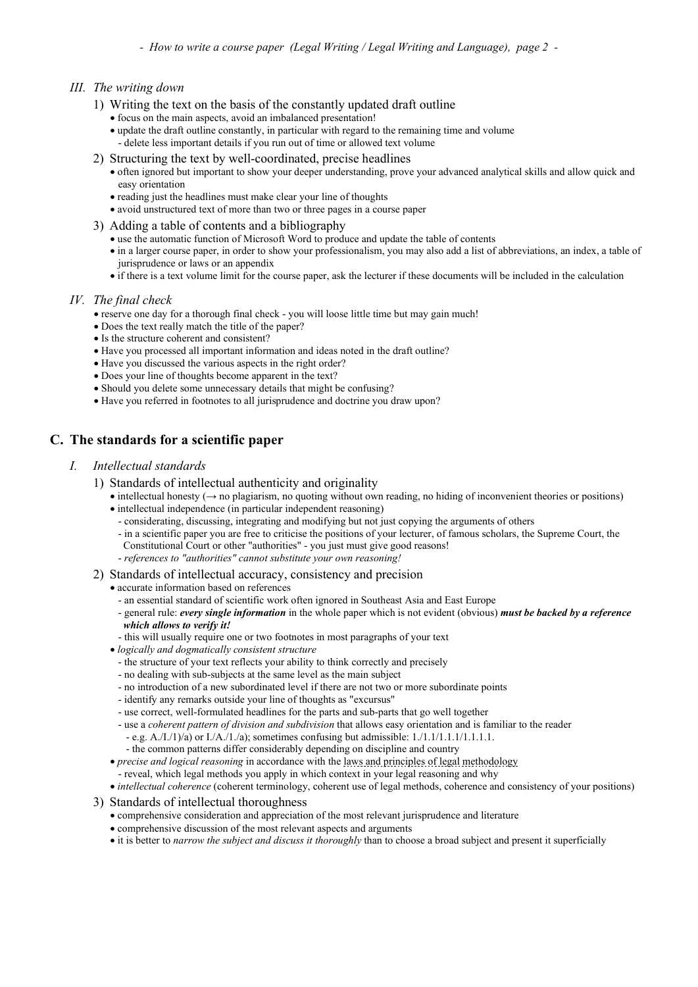#### *III. The writing down*

- 1) Writing the text on the basis of the constantly updated draft outline
	- focus on the main aspects, avoid an imbalanced presentation!
	- update the draft outline constantly, in particular with regard to the remaining time and volume - delete less important details if you run out of time or allowed text volume
- 2) Structuring the text by well-coordinated, precise headlines
	- often ignored but important to show your deeper understanding, prove your advanced analytical skills and allow quick and easy orientation
	- reading just the headlines must make clear your line of thoughts
	- avoid unstructured text of more than two or three pages in a course paper
- 3) Adding a table of contents and a bibliography
	- use the automatic function of Microsoft Word to produce and update the table of contents
	- in a larger course paper, in order to show your professionalism, you may also add a list of abbreviations, an index, a table of jurisprudence or laws or an appendix
	- if there is a text volume limit for the course paper, ask the lecturer if these documents will be included in the calculation

#### *IV. The final check*

- reserve one day for a thorough final check you will loose little time but may gain much!
- Does the text really match the title of the paper?
- Is the structure coherent and consistent?
- Have you processed all important information and ideas noted in the draft outline?
- Have you discussed the various aspects in the right order?
- Does your line of thoughts become apparent in the text?
- Should you delete some unnecessary details that might be confusing?
- Have you referred in footnotes to all jurisprudence and doctrine you draw upon?

## **C. The standards for a scientific paper**

- *I. Intellectual standards*
	- 1) Standards of intellectual authenticity and originality
		- intellectual honesty  $(\rightarrow$  no plagiarism, no quoting without own reading, no hiding of inconvenient theories or positions)
		- intellectual independence (in particular independent reasoning)
		- considerating, discussing, integrating and modifying but not just copying the arguments of others
		- in a scientific paper you are free to criticise the positions of your lecturer, of famous scholars, the Supreme Court, the Constitutional Court or other "authorities" - you just must give good reasons!
		- *references to "authorities" cannot substitute your own reasoning!*
	- 2) Standards of intellectual accuracy, consistency and precision
		- accurate information based on references
			- an essential standard of scientific work often ignored in Southeast Asia and East Europe
			- general rule: *every single information* in the whole paper which is not evident (obvious) *must be backed by a reference which allows to verify it!*
			- this will usually require one or two footnotes in most paragraphs of your text
		- *logically and dogmatically consistent structure*
			- the structure of your text reflects your ability to think correctly and precisely
			- no dealing with sub-subjects at the same level as the main subject
			- no introduction of a new subordinated level if there are not two or more subordinate points
			- identify any remarks outside your line of thoughts as "excursus"
			- use correct, well-formulated headlines for the parts and sub-parts that go well together
			- use a *coherent pattern of division and subdivision* that allows easy orientation and is familiar to the reader
			- e.g. A./I./1)/a) or I./A./1./a); sometimes confusing but admissible: 1./1.1/1.1.1/1.1.1.1.
			- the common patterns differ considerably depending on discipline and country
		- *precise and logical reasoning* in accordance with th[e laws and principles of legal methodology](http://www.thomas-schmitz-yogyakarta.id/Downloads/Schmitz_ScientStandards_diagram1.pdf) - reveal, which legal methods you apply in which context in your legal reasoning and why
		- *intellectual coherence* (coherent terminology, coherent use of legal methods, coherence and consistency of your positions)

#### 3) Standards of intellectual thoroughness

- comprehensive consideration and appreciation of the most relevant jurisprudence and literature
- comprehensive discussion of the most relevant aspects and arguments
- it is better to *narrow the subject and discuss it thoroughly* than to choose a broad subject and present it superficially